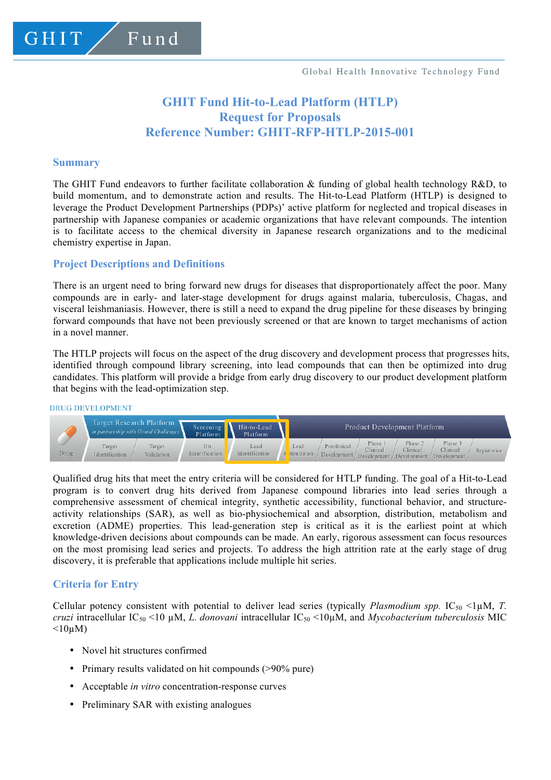# **GHIT Fund Hit-to-Lead Platform (HTLP) Request for Proposals Reference Number: GHIT-RFP-HTLP-2015-001**

#### **Summary**

GHIT.

The GHIT Fund endeavors to further facilitate collaboration & funding of global health technology R&D, to build momentum, and to demonstrate action and results. The Hit-to-Lead Platform (HTLP) is designed to leverage the Product Development Partnerships (PDPs)' active platform for neglected and tropical diseases in partnership with Japanese companies or academic organizations that have relevant compounds. The intention is to facilitate access to the chemical diversity in Japanese research organizations and to the medicinal chemistry expertise in Japan.

### **Project Descriptions and Definitions**

Fund

There is an urgent need to bring forward new drugs for diseases that disproportionately affect the poor. Many compounds are in early- and later-stage development for drugs against malaria, tuberculosis, Chagas, and visceral leishmaniasis. However, there is still a need to expand the drug pipeline for these diseases by bringing forward compounds that have not been previously screened or that are known to target mechanisms of action in a novel manner.

The HTLP projects will focus on the aspect of the drug discovery and development process that progresses hits, identified through compound library screening, into lead compounds that can then be optimized into drug candidates. This platform will provide a bridge from early drug discovery to our product development platform that begins with the lead-optimization step.

#### **DRUG DEVELOPMENT**



Qualified drug hits that meet the entry criteria will be considered for HTLP funding. The goal of a Hit-to-Lead program is to convert drug hits derived from Japanese compound libraries into lead series through a comprehensive assessment of chemical integrity, synthetic accessibility, functional behavior, and structureactivity relationships (SAR), as well as bio-physiochemical and absorption, distribution, metabolism and excretion (ADME) properties. This lead-generation step is critical as it is the earliest point at which knowledge-driven decisions about compounds can be made. An early, rigorous assessment can focus resources on the most promising lead series and projects. To address the high attrition rate at the early stage of drug discovery, it is preferable that applications include multiple hit series.

# **Criteria for Entry**

Cellular potency consistent with potential to deliver lead series (typically *Plasmodium spp.* IC<sub>50</sub> <1 $\mu$ M, *T. cruzi* intracellular  $IC_{50}$  <10  $\mu$ M, *L. donovani* intracellular  $IC_{50}$  <10 $\mu$ M, and *Mycobacterium tuberculosis* MIC  $\leq 10$ uM)

- Novel hit structures confirmed
- Primary results validated on hit compounds (>90% pure)
- Acceptable *in vitro* concentration-response curves
- Preliminary SAR with existing analogues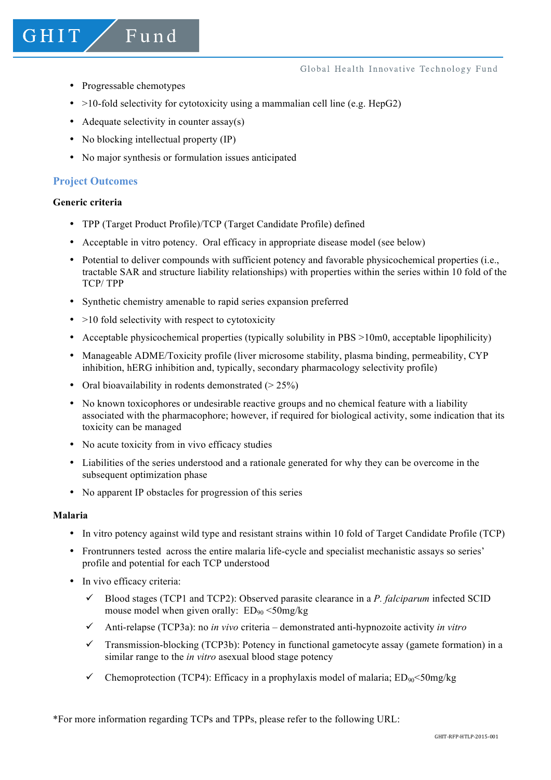- Progressable chemotypes
- $>10$ -fold selectivity for cytotoxicity using a mammalian cell line (e.g. HepG2)
- Adequate selectivity in counter assay(s)
- No blocking intellectual property (IP)

Fund

• No major synthesis or formulation issues anticipated

# **Project Outcomes**

### **Generic criteria**

GHIT

- TPP (Target Product Profile)/TCP (Target Candidate Profile) defined
- Acceptable in vitro potency. Oral efficacy in appropriate disease model (see below)
- Potential to deliver compounds with sufficient potency and favorable physicochemical properties (i.e., tractable SAR and structure liability relationships) with properties within the series within 10 fold of the TCP/ TPP
- Synthetic chemistry amenable to rapid series expansion preferred
- $\bullet$  >10 fold selectivity with respect to cytotoxicity
- Acceptable physicochemical properties (typically solubility in PBS >10m0, acceptable lipophilicity)
- Manageable ADME/Toxicity profile (liver microsome stability, plasma binding, permeability, CYP inhibition, hERG inhibition and, typically, secondary pharmacology selectivity profile)
- Oral bioavailability in rodents demonstrated  $(> 25\%)$
- No known toxicophores or undesirable reactive groups and no chemical feature with a liability associated with the pharmacophore; however, if required for biological activity, some indication that its toxicity can be managed
- No acute toxicity from in vivo efficacy studies
- Liabilities of the series understood and a rationale generated for why they can be overcome in the subsequent optimization phase
- No apparent IP obstacles for progression of this series

#### **Malaria**

- In vitro potency against wild type and resistant strains within 10 fold of Target Candidate Profile (TCP)
- Frontrunners tested across the entire malaria life-cycle and specialist mechanistic assays so series' profile and potential for each TCP understood
- In vivo efficacy criteria:
	- $\checkmark$  Blood stages (TCP1 and TCP2): Observed parasite clearance in a *P. falciparum* infected SCID mouse model when given orally:  $ED_{90} < 50$ mg/kg
	- ü Anti-relapse (TCP3a): no *in vivo* criteria demonstrated anti-hypnozoite activity *in vitro*
	- $\checkmark$  Transmission-blocking (TCP3b): Potency in functional gametocyte assay (gamete formation) in a similar range to the *in vitro* asexual blood stage potency
	- Chemoprotection (TCP4): Efficacy in a prophylaxis model of malaria:  $ED_{90} \leq 50$ mg/kg

\*For more information regarding TCPs and TPPs, please refer to the following URL: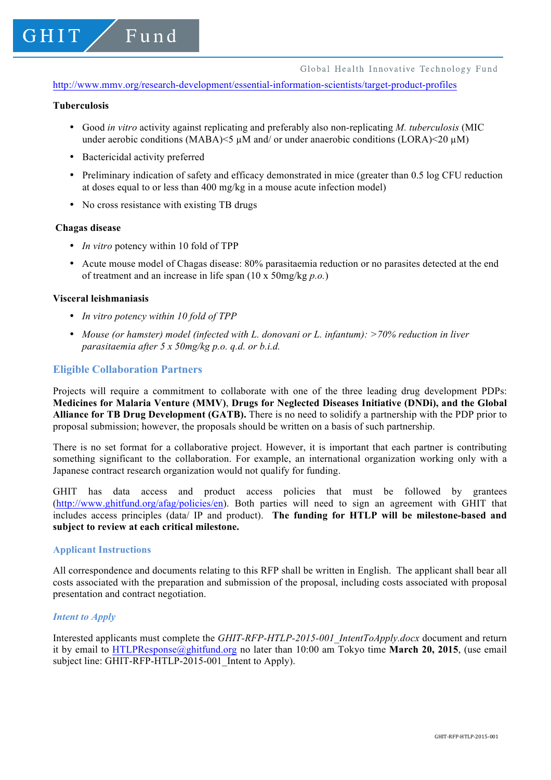http://www.mmv.org/research-development/essential-information-scientists/target-product-profiles

#### **Tuberculosis**

GHIT

- Good *in vitro* activity against replicating and preferably also non-replicating *M. tuberculosis* (MIC under aerobic conditions (MABA) $\leq$   $\mu$ M and/ or under anaerobic conditions (LORA) $\leq$ 20  $\mu$ M)
- Bactericidal activity preferred

Fund

- Preliminary indication of safety and efficacy demonstrated in mice (greater than 0.5 log CFU reduction at doses equal to or less than 400 mg/kg in a mouse acute infection model)
- No cross resistance with existing TB drugs

#### **Chagas disease**

- *In vitro* potency within 10 fold of TPP
- Acute mouse model of Chagas disease: 80% parasitaemia reduction or no parasites detected at the end of treatment and an increase in life span (10 x 50mg/kg *p.o.*)

### **Visceral leishmaniasis**

- *In vitro potency within 10 fold of TPP*
- *Mouse (or hamster) model (infected with L. donovani or L. infantum): >70% reduction in liver parasitaemia after 5 x 50mg/kg p.o. q.d. or b.i.d.*

### **Eligible Collaboration Partners**

Projects will require a commitment to collaborate with one of the three leading drug development PDPs: **Medicines for Malaria Venture (MMV)**, **Drugs for Neglected Diseases Initiative (DNDi), and the Global Alliance for TB Drug Development (GATB).** There is no need to solidify a partnership with the PDP prior to proposal submission; however, the proposals should be written on a basis of such partnership.

There is no set format for a collaborative project. However, it is important that each partner is contributing something significant to the collaboration. For example, an international organization working only with a Japanese contract research organization would not qualify for funding.

GHIT has data access and product access policies that must be followed by grantees (http://www.ghitfund.org/afag/policies/en). Both parties will need to sign an agreement with GHIT that includes access principles (data/ IP and product). **The funding for HTLP will be milestone-based and subject to review at each critical milestone.** 

#### **Applicant Instructions**

All correspondence and documents relating to this RFP shall be written in English. The applicant shall bear all costs associated with the preparation and submission of the proposal, including costs associated with proposal presentation and contract negotiation.

# *Intent to Apply*

Interested applicants must complete the *GHIT-RFP-HTLP-2015-001\_IntentToApply.docx* document and return it by email to HTLPResponse@ghitfund.org no later than 10:00 am Tokyo time **March 20, 2015**, (use email subject line: GHIT-RFP-HTLP-2015-001 Intent to Apply).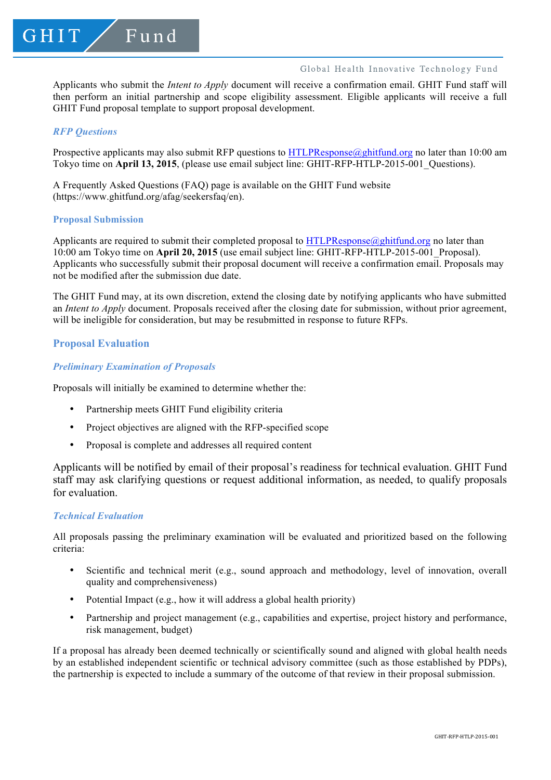### Global Health Innovative Technology Fund

Applicants who submit the *Intent to Apply* document will receive a confirmation email. GHIT Fund staff will then perform an initial partnership and scope eligibility assessment. Eligible applicants will receive a full GHIT Fund proposal template to support proposal development.

# *RFP Questions*

Prospective applicants may also submit RFP questions to HTLPResponse@ghitfund.org no later than 10:00 am Tokyo time on **April 13, 2015**, (please use email subject line: GHIT-RFP-HTLP-2015-001 Questions).

A Frequently Asked Questions (FAQ) page is available on the GHIT Fund website (https://www.ghitfund.org/afag/seekersfaq/en).

#### **Proposal Submission**

Applicants are required to submit their completed proposal to  $HTLPResponse@ghitfund.org$  no later than 10:00 am Tokyo time on **April 20, 2015** (use email subject line: GHIT-RFP-HTLP-2015-001\_Proposal). Applicants who successfully submit their proposal document will receive a confirmation email. Proposals may not be modified after the submission due date.

The GHIT Fund may, at its own discretion, extend the closing date by notifying applicants who have submitted an *Intent to Apply* document. Proposals received after the closing date for submission, without prior agreement, will be ineligible for consideration, but may be resubmitted in response to future RFPs.

# **Proposal Evaluation**

# *Preliminary Examination of Proposals*

Proposals will initially be examined to determine whether the:

- Partnership meets GHIT Fund eligibility criteria
- Project objectives are aligned with the RFP-specified scope
- Proposal is complete and addresses all required content

Applicants will be notified by email of their proposal's readiness for technical evaluation. GHIT Fund staff may ask clarifying questions or request additional information, as needed, to qualify proposals for evaluation.

# *Technical Evaluation*

All proposals passing the preliminary examination will be evaluated and prioritized based on the following criteria:

- Scientific and technical merit (e.g., sound approach and methodology, level of innovation, overall quality and comprehensiveness)
- Potential Impact (e.g., how it will address a global health priority)
- Partnership and project management (e.g., capabilities and expertise, project history and performance, risk management, budget)

If a proposal has already been deemed technically or scientifically sound and aligned with global health needs by an established independent scientific or technical advisory committee (such as those established by PDPs), the partnership is expected to include a summary of the outcome of that review in their proposal submission.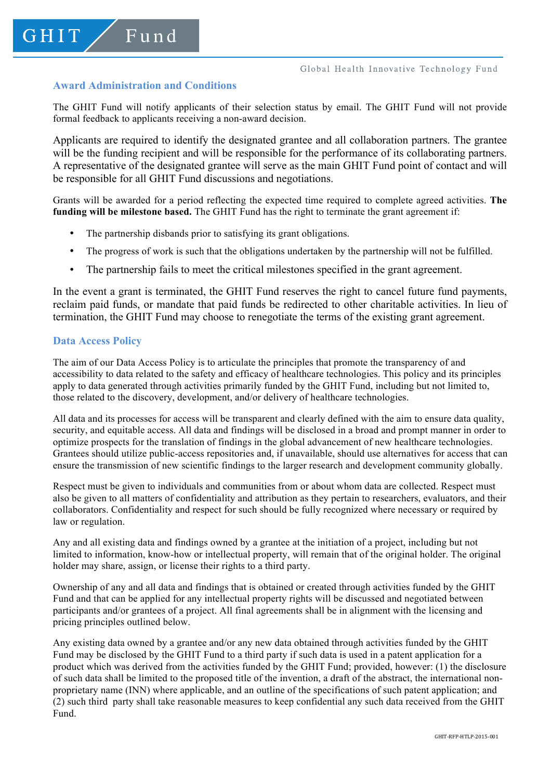# **Award Administration and Conditions**

Fund

GHIT

The GHIT Fund will notify applicants of their selection status by email. The GHIT Fund will not provide formal feedback to applicants receiving a non-award decision.

Applicants are required to identify the designated grantee and all collaboration partners. The grantee will be the funding recipient and will be responsible for the performance of its collaborating partners. A representative of the designated grantee will serve as the main GHIT Fund point of contact and will be responsible for all GHIT Fund discussions and negotiations.

Grants will be awarded for a period reflecting the expected time required to complete agreed activities. **The funding will be milestone based.** The GHIT Fund has the right to terminate the grant agreement if:

- The partnership disbands prior to satisfying its grant obligations.
- The progress of work is such that the obligations undertaken by the partnership will not be fulfilled.
- The partnership fails to meet the critical milestones specified in the grant agreement.

In the event a grant is terminated, the GHIT Fund reserves the right to cancel future fund payments, reclaim paid funds, or mandate that paid funds be redirected to other charitable activities. In lieu of termination, the GHIT Fund may choose to renegotiate the terms of the existing grant agreement.

### **Data Access Policy**

The aim of our Data Access Policy is to articulate the principles that promote the transparency of and accessibility to data related to the safety and efficacy of healthcare technologies. This policy and its principles apply to data generated through activities primarily funded by the GHIT Fund, including but not limited to, those related to the discovery, development, and/or delivery of healthcare technologies.

All data and its processes for access will be transparent and clearly defined with the aim to ensure data quality, security, and equitable access. All data and findings will be disclosed in a broad and prompt manner in order to optimize prospects for the translation of findings in the global advancement of new healthcare technologies. Grantees should utilize public-access repositories and, if unavailable, should use alternatives for access that can ensure the transmission of new scientific findings to the larger research and development community globally.

Respect must be given to individuals and communities from or about whom data are collected. Respect must also be given to all matters of confidentiality and attribution as they pertain to researchers, evaluators, and their collaborators. Confidentiality and respect for such should be fully recognized where necessary or required by law or regulation.

Any and all existing data and findings owned by a grantee at the initiation of a project, including but not limited to information, know-how or intellectual property, will remain that of the original holder. The original holder may share, assign, or license their rights to a third party.

Ownership of any and all data and findings that is obtained or created through activities funded by the GHIT Fund and that can be applied for any intellectual property rights will be discussed and negotiated between participants and/or grantees of a project. All final agreements shall be in alignment with the licensing and pricing principles outlined below.

Any existing data owned by a grantee and/or any new data obtained through activities funded by the GHIT Fund may be disclosed by the GHIT Fund to a third party if such data is used in a patent application for a product which was derived from the activities funded by the GHIT Fund; provided, however: (1) the disclosure of such data shall be limited to the proposed title of the invention, a draft of the abstract, the international nonproprietary name (INN) where applicable, and an outline of the specifications of such patent application; and (2) such third party shall take reasonable measures to keep confidential any such data received from the GHIT Fund.